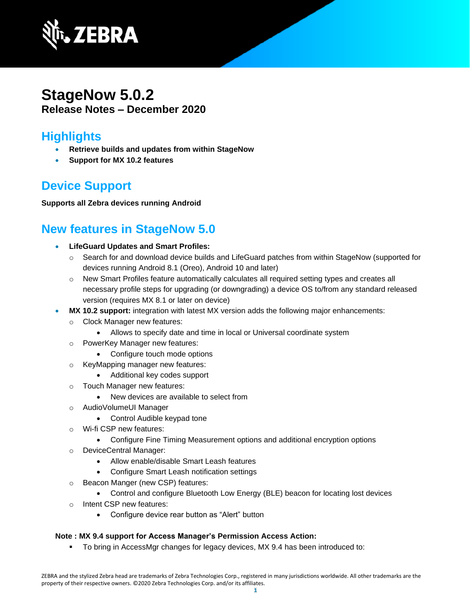

## **StageNow 5.0.2 Release Notes – December 2020**

### **Highlights**

- **Retrieve builds and updates from within StageNow**
- **Support for MX 10.2 features**

## **Device Support**

#### **Supports all Zebra devices running Android**

### **New features in StageNow 5.0**

- **LifeGuard Updates and Smart Profiles:** 
	- o Search for and download device builds and LifeGuard patches from within StageNow (supported for devices running Android 8.1 (Oreo), Android 10 and later)
	- o New Smart Profiles feature automatically calculates all required setting types and creates all necessary profile steps for upgrading (or downgrading) a device OS to/from any standard released version (requires MX 8.1 or later on device)
- **MX 10.2 support:** integration with latest MX version adds the following major enhancements:
	- o Clock Manager new features:
		- Allows to specify date and time in local or Universal coordinate system
	- o PowerKey Manager new features:
		- Configure touch mode options
	- o KeyMapping manager new features:
		- Additional key codes support
	- o Touch Manager new features:
		- New devices are available to select from
	- o AudioVolumeUI Manager
		- Control Audible keypad tone
	- o Wi-fi CSP new features:
		- Configure Fine Timing Measurement options and additional encryption options
	- o DeviceCentral Manager:
		- Allow enable/disable Smart Leash features
		- Configure Smart Leash notification settings
	- o Beacon Manger (new CSP) features:
		- Control and configure Bluetooth Low Energy (BLE) beacon for locating lost devices
	- o Intent CSP new features:
		- Configure device rear button as "Alert" button

#### **Note : MX 9.4 support for Access Manager's [Permission Access Action:](https://techdocs.zebra.com/mx/accessmgr/#permission-access-action)**

▪ To bring in AccessMgr changes for legacy devices, MX 9.4 has been introduced to: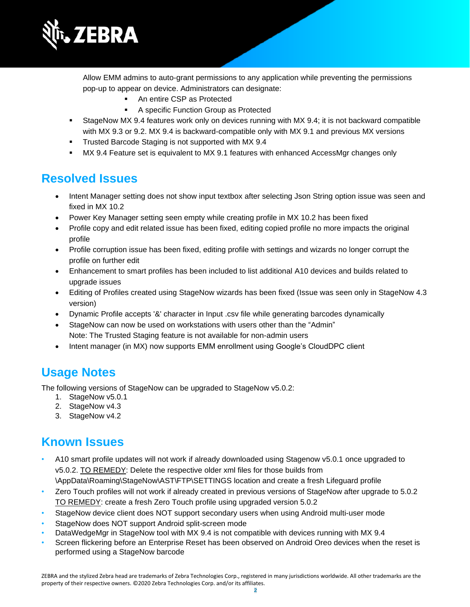

Allow EMM admins to auto-grant permissions to any application while preventing the permissions pop-up to appear on device. Administrators can designate:

- An entire CSP as Protected
- A specific Function Group as Protected
- StageNow MX 9.4 features work only on devices running with MX 9.4; it is not backward compatible with MX 9.3 or 9.2. MX 9.4 is backward-compatible only with MX 9.1 and previous MX versions
- **Trusted Barcode Staging is not supported with MX 9.4**
- **MX 9.4 Feature set is equivalent to MX 9.1 features with enhanced AccessMgr changes only**

#### **Resolved Issues**

- Intent Manager setting does not show input textbox after selecting Json String option issue was seen and fixed in MX 10.2
- Power Key Manager setting seen empty while creating profile in MX 10.2 has been fixed
- Profile copy and edit related issue has been fixed, editing copied profile no more impacts the original profile
- Profile corruption issue has been fixed, editing profile with settings and wizards no longer corrupt the profile on further edit
- Enhancement to smart profiles has been included to list additional A10 devices and builds related to upgrade issues
- Editing of Profiles created using StageNow wizards has been fixed (Issue was seen only in StageNow 4.3 version)
- Dynamic Profile accepts '&' character in Input .csv file while generating barcodes dynamically
- StageNow can now be used on workstations with users other than the "Admin" Note: The Trusted Staging feature is not available for non-admin users
- Intent manager (in MX) now supports EMM enrollment using Google's CloudDPC client

### **Usage Notes**

The following versions of StageNow can be upgraded to StageNow v5.0.2:

- 1. StageNow v5.0.1
- 2. StageNow v4.3
- 3. StageNow v4.2

# **Known Issues**

- A10 smart profile updates will not work if already downloaded using Stagenow v5.0.1 once upgraded to v5.0.2. TO REMEDY: Delete the respective older xml files for those builds from \AppData\Roaming\StageNow\AST\FTP\SETTINGS location and create a fresh Lifeguard profile
- Zero Touch profiles will not work if already created in previous versions of StageNow after upgrade to 5.0.2 TO REMEDY: create a fresh Zero Touch profile using upgraded version 5.0.2
- StageNow device client does NOT support secondary users when using Android multi-user mode
- StageNow does NOT support Android split-screen mode
- DataWedgeMgr in StageNow tool with MX 9.4 is not compatible with devices running with MX 9.4
- Screen flickering before an Enterprise Reset has been observed on Android Oreo devices when the reset is performed using a StageNow barcode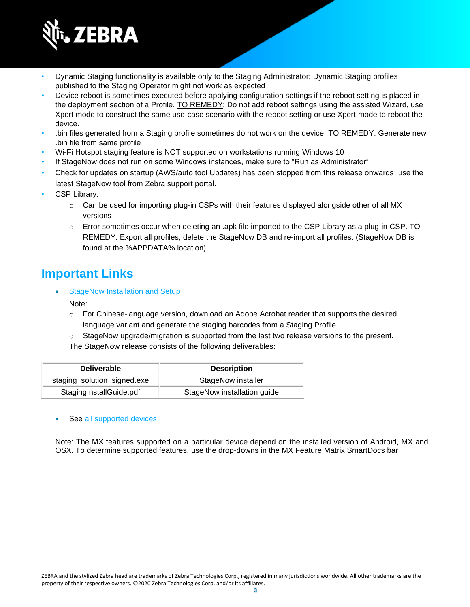

- Dynamic Staging functionality is available only to the Staging Administrator; Dynamic Staging profiles published to the Staging Operator might not work as expected
- Device reboot is sometimes executed before applying configuration settings if the reboot setting is placed in the deployment section of a Profile. TO REMEDY: Do not add reboot settings using the assisted Wizard, use Xpert mode to construct the same use-case scenario with the reboot setting or use Xpert mode to reboot the device.
- .bin files generated from a Staging profile sometimes do not work on the device. TO REMEDY: Generate new .bin file from same profile
- Wi-Fi Hotspot staging feature is NOT supported on workstations running Windows 10
- If StageNow does not run on some Windows instances, make sure to "Run as Administrator"
- Check for updates on startup (AWS/auto tool Updates) has been stopped from this release onwards; use the latest StageNow tool from Zebra support portal.
- CSP Library:
	- $\circ$  Can be used for importing plug-in CSPs with their features displayed alongside other of all MX versions
	- o Error sometimes occur when deleting an .apk file imported to the CSP Library as a plug-in CSP. TO REMEDY: Export all profiles, delete the StageNow DB and re-import all profiles. (StageNow DB is found at the %APPDATA% location)

### **Important Link[s](http://techdocs.zebra.com/stagenow/)**

[StageNow Installation and Setup](http://techdocs.zebra.com/stagenow/latest/installing/)

#### Note:

- o For Chinese-language version, download an Adobe Acrobat reader that supports the desired language variant and generate the staging barcodes from a Staging Profile.
- $\circ$  StageNow upgrade/migration is supported from the last two release versions to the present.

The StageNow release consists of the following deliverables:

| <b>Deliverable</b>          | <b>Description</b>          |
|-----------------------------|-----------------------------|
| staging_solution_signed.exe | StageNow installer          |
| StagingInstallGuide.pdf     | StageNow installation guide |

#### See [all supported devices](http://techdocs.zebra.com/stagenow/)

Note: The MX features supported on a particular device depend on the installed version of Android, MX and OSX. To determine supported features, use the drop-downs in the [MX Feature Matrix](http://techdocs.zebra.com/mx/compatibility/) SmartDocs bar.